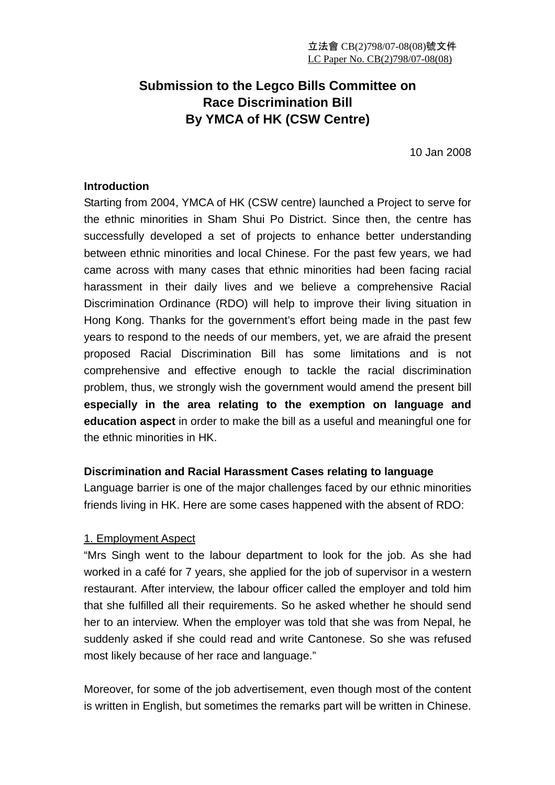# **Submission to the Legco Bills Committee on Race Discrimination Bill By YMCA of HK (CSW Centre)**

10 Jan 2008

### **Introduction**

Starting from 2004, YMCA of HK (CSW centre) launched a Project to serve for the ethnic minorities in Sham Shui Po District. Since then, the centre has successfully developed a set of projects to enhance better understanding between ethnic minorities and local Chinese. For the past few years, we had came across with many cases that ethnic minorities had been facing racial harassment in their daily lives and we believe a comprehensive Racial Discrimination Ordinance (RDO) will help to improve their living situation in Hong Kong. Thanks for the government's effort being made in the past few years to respond to the needs of our members, yet, we are afraid the present proposed Racial Discrimination Bill has some limitations and is not comprehensive and effective enough to tackle the racial discrimination problem, thus, we strongly wish the government would amend the present bill **especially in the area relating to the exemption on language and education aspect** in order to make the bill as a useful and meaningful one for the ethnic minorities in HK.

## **Discrimination and Racial Harassment Cases relating to language**

Language barrier is one of the major challenges faced by our ethnic minorities friends living in HK. Here are some cases happened with the absent of RDO:

## 1. Employment Aspect

"Mrs Singh went to the labour department to look for the job. As she had worked in a café for 7 years, she applied for the job of supervisor in a western restaurant. After interview, the labour officer called the employer and told him that she fulfilled all their requirements. So he asked whether he should send her to an interview. When the employer was told that she was from Nepal, he suddenly asked if she could read and write Cantonese. So she was refused most likely because of her race and language."

Moreover, for some of the job advertisement, even though most of the content is written in English, but sometimes the remarks part will be written in Chinese.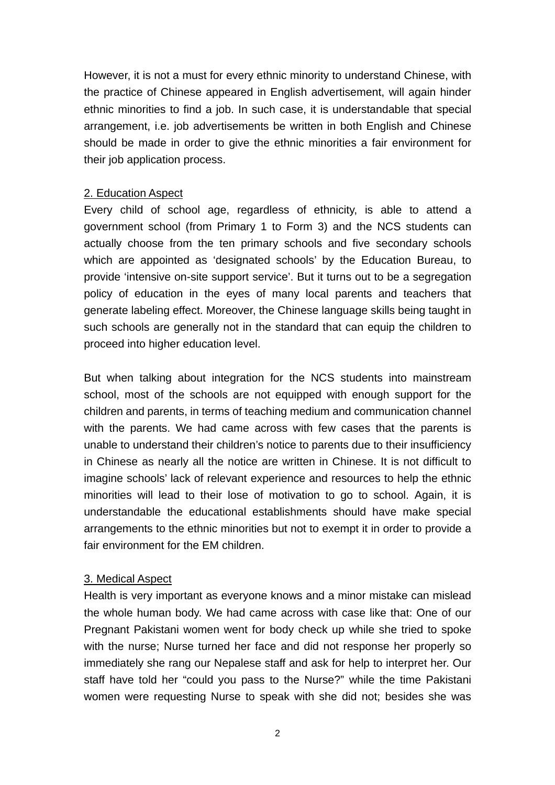However, it is not a must for every ethnic minority to understand Chinese, with the practice of Chinese appeared in English advertisement, will again hinder ethnic minorities to find a job. In such case, it is understandable that special arrangement, i.e. job advertisements be written in both English and Chinese should be made in order to give the ethnic minorities a fair environment for their job application process.

## 2. Education Aspect

Every child of school age, regardless of ethnicity, is able to attend a government school (from Primary 1 to Form 3) and the NCS students can actually choose from the ten primary schools and five secondary schools which are appointed as 'designated schools' by the Education Bureau, to provide 'intensive on-site support service'. But it turns out to be a segregation policy of education in the eyes of many local parents and teachers that generate labeling effect. Moreover, the Chinese language skills being taught in such schools are generally not in the standard that can equip the children to proceed into higher education level.

But when talking about integration for the NCS students into mainstream school, most of the schools are not equipped with enough support for the children and parents, in terms of teaching medium and communication channel with the parents. We had came across with few cases that the parents is unable to understand their children's notice to parents due to their insufficiency in Chinese as nearly all the notice are written in Chinese. It is not difficult to imagine schools' lack of relevant experience and resources to help the ethnic minorities will lead to their lose of motivation to go to school. Again, it is understandable the educational establishments should have make special arrangements to the ethnic minorities but not to exempt it in order to provide a fair environment for the EM children.

#### 3. Medical Aspect

Health is very important as everyone knows and a minor mistake can mislead the whole human body. We had came across with case like that: One of our Pregnant Pakistani women went for body check up while she tried to spoke with the nurse; Nurse turned her face and did not response her properly so immediately she rang our Nepalese staff and ask for help to interpret her. Our staff have told her "could you pass to the Nurse?" while the time Pakistani women were requesting Nurse to speak with she did not; besides she was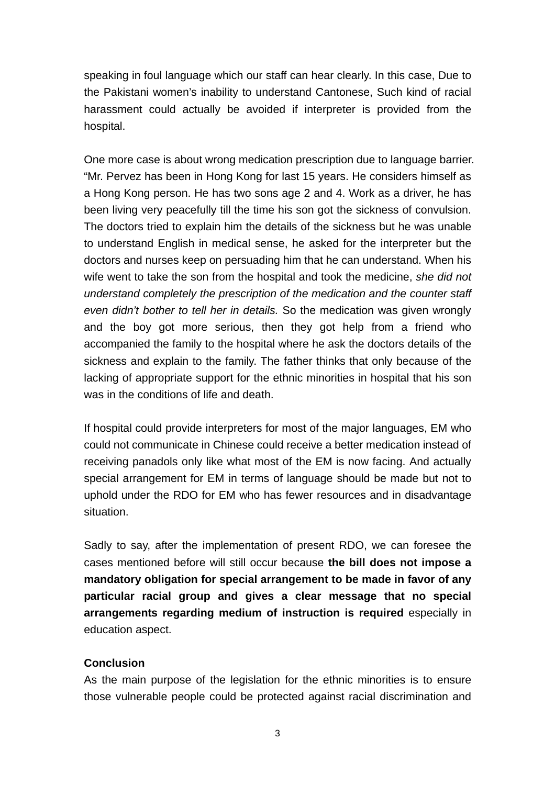speaking in foul language which our staff can hear clearly. In this case, Due to the Pakistani women's inability to understand Cantonese, Such kind of racial harassment could actually be avoided if interpreter is provided from the hospital.

One more case is about wrong medication prescription due to language barrier. "Mr. Pervez has been in Hong Kong for last 15 years. He considers himself as a Hong Kong person. He has two sons age 2 and 4. Work as a driver, he has been living very peacefully till the time his son got the sickness of convulsion. The doctors tried to explain him the details of the sickness but he was unable to understand English in medical sense, he asked for the interpreter but the doctors and nurses keep on persuading him that he can understand. When his wife went to take the son from the hospital and took the medicine, *she did not understand completely the prescription of the medication and the counter staff even didn't bother to tell her in details.* So the medication was given wrongly and the boy got more serious, then they got help from a friend who accompanied the family to the hospital where he ask the doctors details of the sickness and explain to the family. The father thinks that only because of the lacking of appropriate support for the ethnic minorities in hospital that his son was in the conditions of life and death.

If hospital could provide interpreters for most of the major languages, EM who could not communicate in Chinese could receive a better medication instead of receiving panadols only like what most of the EM is now facing. And actually special arrangement for EM in terms of language should be made but not to uphold under the RDO for EM who has fewer resources and in disadvantage situation.

Sadly to say, after the implementation of present RDO, we can foresee the cases mentioned before will still occur because **the bill does not impose a mandatory obligation for special arrangement to be made in favor of any particular racial group and gives a clear message that no special arrangements regarding medium of instruction is required** especially in education aspect.

#### **Conclusion**

As the main purpose of the legislation for the ethnic minorities is to ensure those vulnerable people could be protected against racial discrimination and